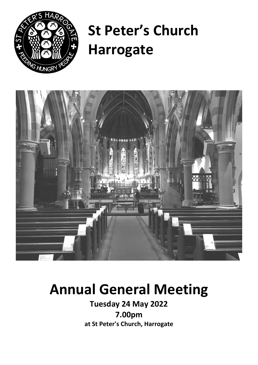

# **St Peter's Church Harrogate**



## **Annual General Meeting**

**Tuesday 24 May 2022 7.00pm at St Peter's Church, Harrogate**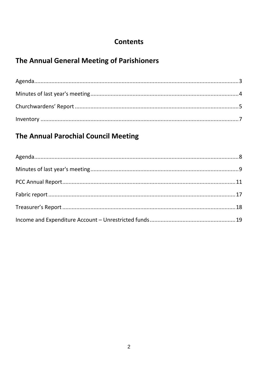## **Contents**

## The Annual General Meeting of Parishioners

## The Annual Parochial Council Meeting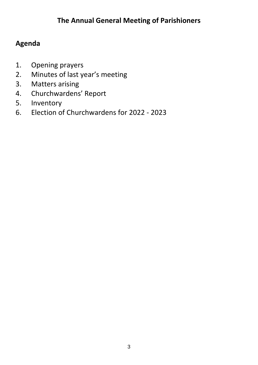## <span id="page-2-0"></span>**Agenda**

- 1. Opening prayers
- 2. Minutes of last year's meeting
- 3. Matters arising
- 4. Churchwardens' Report
- 5. Inventory
- 6. Election of Churchwardens for 2022 2023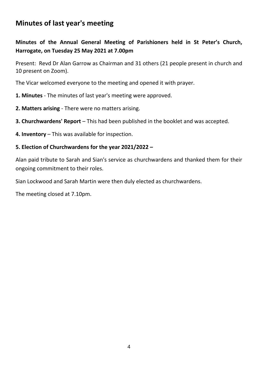## <span id="page-3-0"></span>**Minutes of last year's meeting**

#### **Minutes of the Annual General Meeting of Parishioners held in St Peter's Church, Harrogate, on Tuesday 25 May 2021 at 7.00pm**

Present: Revd Dr Alan Garrow as Chairman and 31 others (21 people present in church and 10 present on Zoom).

The Vicar welcomed everyone to the meeting and opened it with prayer.

- **1. Minutes** The minutes of last year's meeting were approved.
- **2. Matters arising** There were no matters arising.
- **3. Churchwardens' Report** This had been published in the booklet and was accepted.
- **4. Inventory** This was available for inspection.

#### **5. Election of Churchwardens for the year 2021/2022 –**

Alan paid tribute to Sarah and Sian's service as churchwardens and thanked them for their ongoing commitment to their roles.

Sian Lockwood and Sarah Martin were then duly elected as churchwardens.

The meeting closed at 7.10pm.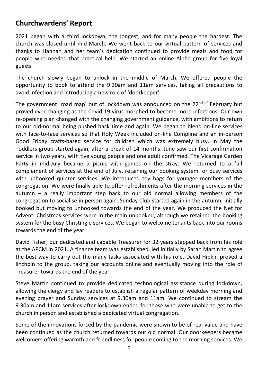## <span id="page-4-0"></span>**Churchwardens' Report**

2021 began with a third lockdown, the longest, and for many people the hardest. The church was closed until mid-March. We went back to our virtual pattern of services and thanks to Hannah and her team's dedication continued to provide meals and food for people who needed that practical help. We started an online Alpha group for five loyal guests

The church slowly began to unlock in the middle of March. We offered people the opportunity to book to attend the 9.30am and 11am services, taking all precautions to avoid infection and introducing a new role of 'doorkeeper'.

The government 'road map' out of lockdown was announced on the 22<sup>nd of</sup> February but proved ever-changing as the Covid-19 virus morphed to become more infectious. Our own re-opening plan changed with the changing government guidance, with ambitions to return to our old-normal being pushed back time and again. We began to blend on-line services with face-to-face services so that Holy Week included on-line Compline and an in-person Good Friday crafts-based service for children which was extremely busy. In May the Toddlers group started again, after a break of 14 months. June saw our first confirmation service in two years, with five young people and one adult confirmed. The Vicarage Garden Party in mid-July became a picnic with games on the stray. We returned to a full complement of services at the end of July, retaining our booking system for busy services with unbooked quieter services. We introduced toy bags for younger members of the congregation. We were finally able to offer refreshments after the morning services in the autumn – a really important step back to our old normal allowing members of the congregation to socialise in person again. Sunday Club started again in the autumn, initially booked but moving to unbooked towards the end of the year. We produced the Net for Advent. Christmas services were in the main unbooked, although we retained the booking system for the busy Christingle services. We began to welcome tenants back into our rooms towards the end of the year.

David Fisher, our dedicated and capable Treasurer for 32 years stepped back from his role at the APCM in 2021. A finance team was established, led initially by Sarah Martin to agree the best way to carry out the many tasks associated with his role. David Hipkin proved a linchpin to the group, taking our accounts online and eventually moving into the role of Treasurer towards the end of the year.

Steve Martin continued to provide dedicated technological assistance during lockdown, allowing the clergy and lay readers to establish a regular pattern of weekday morning and evening prayer and Sunday services at 9.30am and 11am. We continued to stream the 9.30am and 11am services after lockdown ended for those who were unable to get to the church in person and established a dedicated virtual congregation.

Some of the innovations forced by the pandemic were shown to be of real value and have been continued as the church returned towards our old normal. Our doorkeepers became welcomers offering warmth and friendliness for people coming to the morning services. We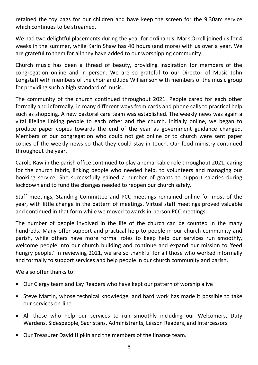retained the toy bags for our children and have keep the screen for the 9.30am service which continues to be streamed.

We had two delightful placements during the year for ordinands. Mark Orrell joined us for 4 weeks in the summer, while Karin Shaw has 40 hours (and more) with us over a year. We are grateful to them for all they have added to our worshipping community.

Church music has been a thread of beauty, providing inspiration for members of the congregation online and in person. We are so grateful to our Director of Music John Longstaff with members of the choir and Jude Williamson with members of the music group for providing such a high standard of music.

The community of the church continued throughout 2021. People cared for each other formally and informally, in many different ways from cards and phone calls to practical help such as shopping. A new pastoral care team was established. The weekly news was again a vital lifeline linking people to each other and the church. Initially online, we began to produce paper copies towards the end of the year as government guidance changed. Members of our congregation who could not get online or to church were sent paper copies of the weekly news so that they could stay in touch. Our food ministry continued throughout the year.

Carole Raw in the parish office continued to play a remarkable role throughout 2021, caring for the church fabric, linking people who needed help, to volunteers and managing our booking service. She successfully gained a number of grants to support salaries during lockdown and to fund the changes needed to reopen our church safely.

Staff meetings, Standing Committee and PCC meetings remained online for most of the year, with little change in the pattern of meetings. Virtual staff meetings proved valuable and continued in that form while we moved towards in-person PCC meetings.

The number of people involved in the life of the church can be counted in the many hundreds. Many offer support and practical help to people in our church community and parish, while others have more formal roles to keep help our services run smoothly, welcome people into our church building and continue and expand our mission to 'feed hungry people.' In reviewing 2021, we are so thankful for all those who worked informally and formally to support services and help people in our church community and parish.

We also offer thanks to:

- Our Clergy team and Lay Readers who have kept our pattern of worship alive
- Steve Martin, whose technical knowledge, and hard work has made it possible to take our services on-line
- All those who help our services to run smoothly including our Welcomers, Duty Wardens, Sidespeople, Sacristans, Administrants, Lesson Readers, and Intercessors
- Our Treasurer David Hipkin and the members of the finance team.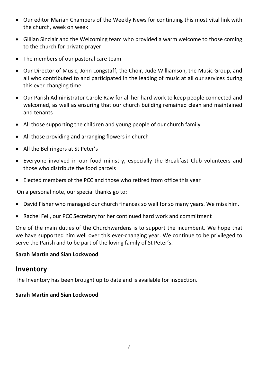- Our editor Marian Chambers of the Weekly News for continuing this most vital link with the church, week on week
- Gillian Sinclair and the Welcoming team who provided a warm welcome to those coming to the church for private prayer
- The members of our pastoral care team
- Our Director of Music, John Longstaff, the Choir, Jude Williamson, the Music Group, and all who contributed to and participated in the leading of music at all our services during this ever-changing time
- Our Parish Administrator Carole Raw for all her hard work to keep people connected and welcomed, as well as ensuring that our church building remained clean and maintained and tenants
- All those supporting the children and young people of our church family
- All those providing and arranging flowers in church
- All the Bellringers at St Peter's
- Everyone involved in our food ministry, especially the Breakfast Club volunteers and those who distribute the food parcels
- Elected members of the PCC and those who retired from office this year

On a personal note, our special thanks go to:

- David Fisher who managed our church finances so well for so many years. We miss him.
- Rachel Fell, our PCC Secretary for her continued hard work and commitment

One of the main duties of the Churchwardens is to support the incumbent. We hope that we have supported him well over this ever-changing year. We continue to be privileged to serve the Parish and to be part of the loving family of St Peter's.

#### **Sarah Martin and Sian Lockwood**

#### <span id="page-6-0"></span>**Inventory**

The Inventory has been brought up to date and is available for inspection.

#### **Sarah Martin and Sian Lockwood**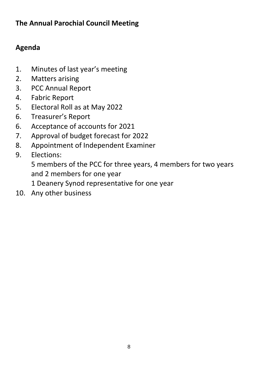## **The Annual Parochial Council Meeting**

## <span id="page-7-0"></span>**Agenda**

- 1. Minutes of last year's meeting
- 2. Matters arising
- 3. PCC Annual Report
- 4. Fabric Report
- 5. Electoral Roll as at May 2022
- 6. Treasurer's Report
- 6. Acceptance of accounts for 2021
- 7. Approval of budget forecast for 2022
- 8. Appointment of Independent Examiner
- 9. Elections:

5 members of the PCC for three years, 4 members for two years and 2 members for one year

1 Deanery Synod representative for one year

10. Any other business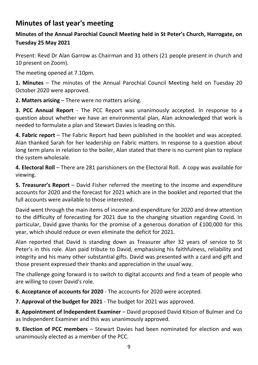## <span id="page-8-0"></span>**Minutes of last year's meeting**

### **Minutes of the Annual Parochial Council Meeting held in St Peter's Church, Harrogate, on Tuesday 25 May 2021**

Present: Revd Dr Alan Garrow as Chairman and 31 others (21 people present in church and 10 present on Zoom).

The meeting opened at 7.10pm.

**1. Minutes** – The minutes of the Annual Parochial Council Meeting held on Tuesday 20 October 2020 were approved.

**2. Matters arising** – There were no matters arising.

**3. PCC Annual Report** - The PCC Report was unanimously accepted. In response to a question about whether we have an environmental plan, Alan acknowledged that work is needed to formulate a plan and Stewart Davies is leading on this.

**4. Fabric report** – The Fabric Report had been published in the booklet and was accepted. Alan thanked Sarah for her leadership on Fabric matters. In response to a question about long term plans in relation to the boiler, Alan stated that there is no current plan to replace the system wholesale.

**4. Electoral Roll** – There are 281 parishioners on the Electoral Roll. A copy was available for viewing.

**5. Treasurer's Report** – David Fisher referred the meeting to the income and expenditure accounts for 2020 and the forecast for 2021 which are in the booklet and reported that the full accounts were available to those interested.

David went through the main items of income and expenditure for 2020 and drew attention to the difficulty of forecasting for 2021 due to the changing situation regarding Covid. In particular, David gave thanks for the promise of a generous donation of £100,000 for this year, which should reduce or even eliminate the deficit for 2021.

Alan reported that David is standing down as Treasurer after 32 years of service to St Peter's in this role. Alan paid tribute to David, emphasising his faithfulness, reliability and integrity and his many other substantial gifts. David was presented with a card and gift and those present expressed their thanks and appreciation in the usual way.

The challenge going forward is to switch to digital accounts and find a team of people who are willing to cover David's role.

**6. Acceptance of accounts for 2020** - The accounts for 2020 were accepted.

**7. Approval of the budget for 2021** - The budget for 2021 was approved.

**8. Appointment of Independent Examiner** – David proposed David Kitson of Bulmer and Co as Independent Examiner and this was unanimously approved.

**9. Election of PCC members** – Stewart Davies had been nominated for election and was unanimously elected as a member of the PCC.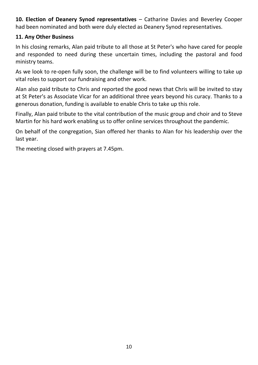**10. Election of Deanery Synod representatives** – Catharine Davies and Beverley Cooper had been nominated and both were duly elected as Deanery Synod representatives.

#### **11. Any Other Business**

In his closing remarks, Alan paid tribute to all those at St Peter's who have cared for people and responded to need during these uncertain times, including the pastoral and food ministry teams.

As we look to re-open fully soon, the challenge will be to find volunteers willing to take up vital roles to support our fundraising and other work.

Alan also paid tribute to Chris and reported the good news that Chris will be invited to stay at St Peter's as Associate Vicar for an additional three years beyond his curacy. Thanks to a generous donation, funding is available to enable Chris to take up this role.

Finally, Alan paid tribute to the vital contribution of the music group and choir and to Steve Martin for his hard work enabling us to offer online services throughout the pandemic.

On behalf of the congregation, Sian offered her thanks to Alan for his leadership over the last year.

The meeting closed with prayers at 7.45pm.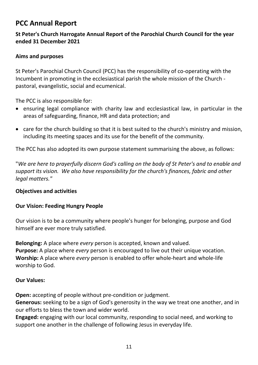## <span id="page-10-0"></span>**PCC Annual Report**

#### **St Peter's Church Harrogate Annual Report of the Parochial Church Council for the year ended 31 December 2021**

#### **Aims and purposes**

St Peter's Parochial Church Council (PCC) has the responsibility of co-operating with the Incumbent in promoting in the ecclesiastical parish the whole mission of the Church pastoral, evangelistic, social and ecumenical.

The PCC is also responsible for:

- ensuring legal compliance with charity law and ecclesiastical law, in particular in the areas of safeguarding, finance, HR and data protection; and
- care for the church building so that it is best suited to the church's ministry and mission, including its meeting spaces and its use for the benefit of the community.

The PCC has also adopted its own purpose statement summarising the above, as follows:

"*We are here to prayerfully discern God's calling on the body of St Peter's and to enable and support its vision. We also have responsibility for the church's finances, fabric and other legal matters."*

#### **Objectives and activities**

#### **Our Vision: Feeding Hungry People**

Our vision is to be a community where people's hunger for belonging, purpose and God himself are ever more truly satisfied.

**Belonging:** A place where *every* person is accepted, known and valued. **Purpose:** A place where *every* person is encouraged to live out their unique vocation. **Worship:** A place where *every* person is enabled to offer whole-heart and whole-life worship to God.

#### **Our Values:**

**Open:** accepting of people without pre-condition or judgment.

**Generous:** seeking to be a sign of God's generosity in the way we treat one another, and in our efforts to bless the town and wider world.

**Engaged:** engaging with our local community, responding to social need, and working to support one another in the challenge of following Jesus in everyday life.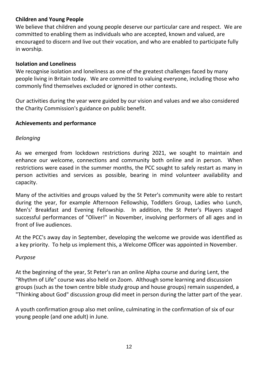#### **Children and Young People**

We believe that children and young people deserve our particular care and respect. We are committed to enabling them as individuals who are accepted, known and valued, are encouraged to discern and live out their vocation, and who are enabled to participate fully in worship.

#### **Isolation and Loneliness**

We recognise isolation and loneliness as one of the greatest challenges faced by many people living in Britain today. We are committed to valuing everyone, including those who commonly find themselves excluded or ignored in other contexts.

Our activities during the year were guided by our vision and values and we also considered the Charity Commission's guidance on public benefit.

#### **Achievements and performance**

#### *Belonging*

As we emerged from lockdown restrictions during 2021, we sought to maintain and enhance our welcome, connections and community both online and in person. When restrictions were eased in the summer months, the PCC sought to safely restart as many in person activities and services as possible, bearing in mind volunteer availability and capacity.

Many of the activities and groups valued by the St Peter's community were able to restart during the year, for example Afternoon Fellowship, Toddlers Group, Ladies who Lunch, Men's' Breakfast and Evening Fellowship. In addition, the St Peter's Players staged successful performances of "Oliver!" in November, involving performers of all ages and in front of live audiences.

At the PCC's away day in September, developing the welcome we provide was identified as a key priority. To help us implement this, a Welcome Officer was appointed in November.

#### *Purpose*

At the beginning of the year, St Peter's ran an online Alpha course and during Lent, the "Rhythm of Life" course was also held on Zoom. Although some learning and discussion groups (such as the town centre bible study group and house groups) remain suspended, a "Thinking about God" discussion group did meet in person during the latter part of the year.

A youth confirmation group also met online, culminating in the confirmation of six of our young people (and one adult) in June.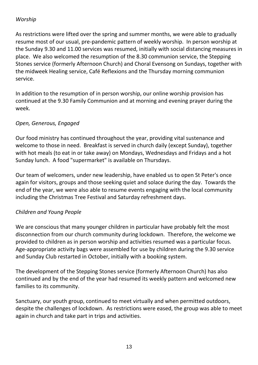#### *Worship*

As restrictions were lifted over the spring and summer months, we were able to gradually resume most of our usual, pre-pandemic pattern of weekly worship. In person worship at the Sunday 9.30 and 11.00 services was resumed, initially with social distancing measures in place. We also welcomed the resumption of the 8.30 communion service, the Stepping Stones service (formerly Afternoon Church) and Choral Evensong on Sundays, together with the midweek Healing service, Café Reflexions and the Thursday morning communion service.

In addition to the resumption of in person worship, our online worship provision has continued at the 9.30 Family Communion and at morning and evening prayer during the week.

#### *Open, Generous, Engaged*

Our food ministry has continued throughout the year, providing vital sustenance and welcome to those in need. Breakfast is served in church daily (except Sunday), together with hot meals (to eat in or take away) on Mondays, Wednesdays and Fridays and a hot Sunday lunch. A food "supermarket" is available on Thursdays.

Our team of welcomers, under new leadership, have enabled us to open St Peter's once again for visitors, groups and those seeking quiet and solace during the day. Towards the end of the year, we were also able to resume events engaging with the local community including the Christmas Tree Festival and Saturday refreshment days.

#### *Children and Young People*

We are conscious that many younger children in particular have probably felt the most disconnection from our church community during lockdown. Therefore, the welcome we provided to children as in person worship and activities resumed was a particular focus. Age-appropriate activity bags were assembled for use by children during the 9.30 service and Sunday Club restarted in October, initially with a booking system.

The development of the Stepping Stones service (formerly Afternoon Church) has also continued and by the end of the year had resumed its weekly pattern and welcomed new families to its community.

Sanctuary, our youth group, continued to meet virtually and when permitted outdoors, despite the challenges of lockdown. As restrictions were eased, the group was able to meet again in church and take part in trips and activities.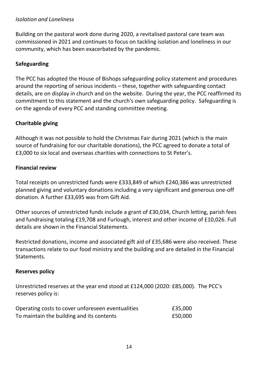#### *Isolation and Loneliness*

Building on the pastoral work done during 2020, a revitalised pastoral care team was commissioned in 2021 and continues to focus on tackling isolation and loneliness in our community, which has been exacerbated by the pandemic.

#### **Safeguarding**

The PCC has adopted the House of Bishops safeguarding policy statement and procedures around the reporting of serious incidents – these, together with safeguarding contact details, are on display in church and on the website. During the year, the PCC reaffirmed its commitment to this statement and the church's own safeguarding policy. Safeguarding is on the agenda of every PCC and standing committee meeting.

#### **Charitable giving**

Although it was not possible to hold the Christmas Fair during 2021 (which is the main source of fundraising for our charitable donations), the PCC agreed to donate a total of £3,000 to six local and overseas charities with connections to St Peter's.

#### **Financial review**

Total receipts on unrestricted funds were £333,849 of which £240,386 was unrestricted planned giving and voluntary donations including a very significant and generous one-off donation. A further £33,695 was from Gift Aid.

Other sources of unrestricted funds include a grant of £30,034, Church letting, parish fees and fundraising totaling £19,708 and Furlough, interest and other income of £10,026. Full details are shown in the Financial Statements.

Restricted donations, income and associated gift aid of £35,686 were also received. These transactions relate to our food ministry and the building and are detailed in the Financial Statements.

#### **Reserves policy**

Unrestricted reserves at the year end stood at £124,000 (2020: £85,000). The PCC's reserves policy is:

| Operating costs to cover unforeseen eventualities | £35,000 |
|---------------------------------------------------|---------|
| To maintain the building and its contents         | £50,000 |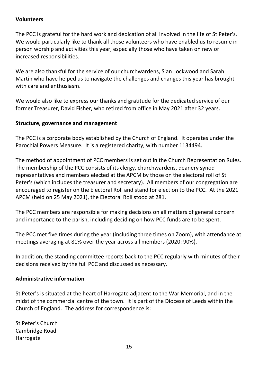#### **Volunteers**

The PCC is grateful for the hard work and dedication of all involved in the life of St Peter's. We would particularly like to thank all those volunteers who have enabled us to resume in person worship and activities this year, especially those who have taken on new or increased responsibilities.

We are also thankful for the service of our churchwardens, Sian Lockwood and Sarah Martin who have helped us to navigate the challenges and changes this year has brought with care and enthusiasm.

We would also like to express our thanks and gratitude for the dedicated service of our former Treasurer, David Fisher, who retired from office in May 2021 after 32 years.

#### **Structure, governance and management**

The PCC is a corporate body established by the Church of England. It operates under the Parochial Powers Measure. It is a registered charity, with number 1134494.

The method of appointment of PCC members is set out in the Church Representation Rules. The membership of the PCC consists of its clergy, churchwardens, deanery synod representatives and members elected at the APCM by those on the electoral roll of St Peter's (which includes the treasurer and secretary). All members of our congregation are encouraged to register on the Electoral Roll and stand for election to the PCC. At the 2021 APCM (held on 25 May 2021), the Electoral Roll stood at 281.

The PCC members are responsible for making decisions on all matters of general concern and importance to the parish, including deciding on how PCC funds are to be spent.

The PCC met five times during the year (including three times on Zoom), with attendance at meetings averaging at 81% over the year across all members (2020: 90%).

In addition, the standing committee reports back to the PCC regularly with minutes of their decisions received by the full PCC and discussed as necessary.

#### **Administrative information**

St Peter's is situated at the heart of Harrogate adjacent to the War Memorial, and in the midst of the commercial centre of the town. It is part of the Diocese of Leeds within the Church of England. The address for correspondence is:

St Peter's Church Cambridge Road Harrogate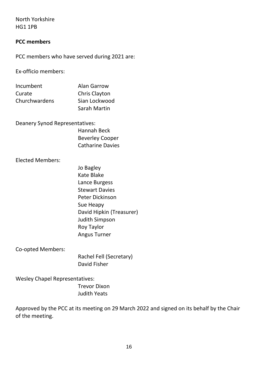North Yorkshire HG1 1PB

#### **PCC members**

PCC members who have served during 2021 are:

Ex-officio members:

| Incumbent     | <b>Alan Garrow</b> |
|---------------|--------------------|
| Curate        | Chris Clayton      |
| Churchwardens | Sian Lockwood      |
|               | Sarah Martin       |

Deanery Synod Representatives:

| Hannah Beck             |  |
|-------------------------|--|
| <b>Beverley Cooper</b>  |  |
| <b>Catharine Davies</b> |  |

Elected Members:

Jo Bagley Kate Blake Lance Burgess Stewart Davies Peter Dickinson Sue Heapy David Hipkin (Treasurer) Judith Simpson Roy Taylor Angus Turner

Co-opted Members:

Rachel Fell (Secretary) David Fisher

Wesley Chapel Representatives:

Trevor Dixon Judith Yeats

Approved by the PCC at its meeting on 29 March 2022 and signed on its behalf by the Chair of the meeting.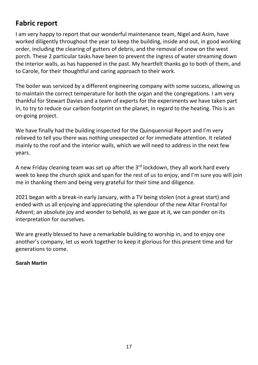## <span id="page-16-0"></span>**Fabric report**

I am very happy to report that our wonderful maintenance team, Nigel and Asim, have worked diligently throughout the year to keep the building, inside and out, in good working order, including the clearing of gutters of debris, and the removal of snow on the west porch. These 2 particular tasks have been to prevent the ingress of water streaming down the interior walls, as has happened in the past. My heartfelt thanks go to both of them, and to Carole, for their thoughtful and caring approach to their work.

The boiler was serviced by a different engineering company with some success, allowing us to maintain the correct temperature for both the organ and the congregations. I am very thankful for Stewart Davies and a team of experts for the experiments we have taken part in, to try to reduce our carbon footprint on the planet, in regard to the heating. This is an on-going project.

We have finally had the building inspected for the Quinquennial Report and I'm very relieved to tell you there was nothing unexpected or for immediate attention. It related mainly to the roof and the interior walls, which we will need to address in the next few years.

A new Friday cleaning team was set up after the  $3<sup>rd</sup>$  lockdown, they all work hard every week to keep the church spick and span for the rest of us to enjoy, and I'm sure you will join me in thanking them and being very grateful for their time and diligence.

2021 began with a break-in early January, with a TV being stolen (not a great start) and ended with us all enjoying and appreciating the splendour of the new Altar Frontal for Advent; an absolute joy and wonder to behold, as we gaze at it, we can ponder on its interpretation for ourselves.

We are greatly blessed to have a remarkable building to worship in, and to enjoy one another's company, let us work together to keep it glorious for this present time and for generations to come.

#### **Sarah Martin**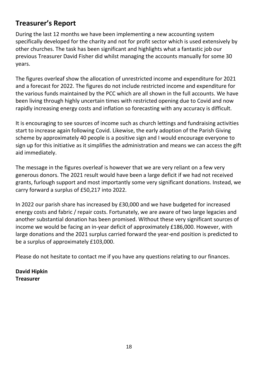## <span id="page-17-0"></span>**Treasurer's Report**

During the last 12 months we have been implementing a new accounting system specifically developed for the charity and not for profit sector which is used extensively by other churches. The task has been significant and highlights what a fantastic job our previous Treasurer David Fisher did whilst managing the accounts manually for some 30 years.

The figures overleaf show the allocation of unrestricted income and expenditure for 2021 and a forecast for 2022. The figures do not include restricted income and expenditure for the various funds maintained by the PCC which are all shown in the full accounts. We have been living through highly uncertain times with restricted opening due to Covid and now rapidly increasing energy costs and inflation so forecasting with any accuracy is difficult.

It is encouraging to see sources of income such as church lettings and fundraising activities start to increase again following Covid. Likewise, the early adoption of the Parish Giving scheme by approximately 40 people is a positive sign and I would encourage everyone to sign up for this initiative as it simplifies the administration and means we can access the gift aid immediately.

The message in the figures overleaf is however that we are very reliant on a few very generous donors. The 2021 result would have been a large deficit if we had not received grants, furlough support and most importantly some very significant donations. Instead, we carry forward a surplus of £50,217 into 2022.

In 2022 our parish share has increased by £30,000 and we have budgeted for increased energy costs and fabric / repair costs. Fortunately, we are aware of two large legacies and another substantial donation has been promised. Without these very significant sources of income we would be facing an in-year deficit of approximately £186,000. However, with large donations and the 2021 surplus carried forward the year-end position is predicted to be a surplus of approximately £103,000.

Please do not hesitate to contact me if you have any questions relating to our finances.

**David Hipkin Treasurer**